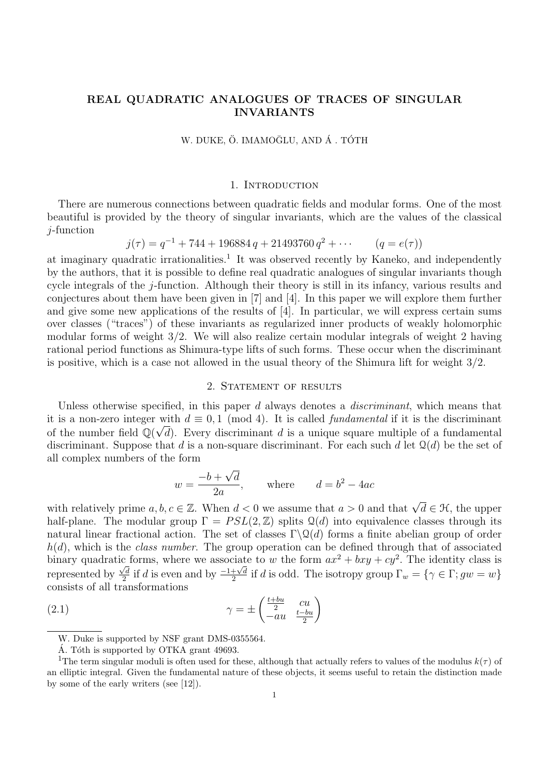# REAL QUADRATIC ANALOGUES OF TRACES OF SINGULAR INVARIANTS

W. DUKE, Ö. IMAMOĞLU, AND Á . TÓTH

### 1. INTRODUCTION

There are numerous connections between quadratic fields and modular forms. One of the most beautiful is provided by the theory of singular invariants, which are the values of the classical j-function

$$
j(\tau) = q^{-1} + 744 + 196884 q + 21493760 q^{2} + \cdots \qquad (q = e(\tau))
$$

at imaginary quadratic irrationalities.<sup>1</sup> It was observed recently by Kaneko, and independently by the authors, that it is possible to define real quadratic analogues of singular invariants though cycle integrals of the j-function. Although their theory is still in its infancy, various results and conjectures about them have been given in [7] and [4]. In this paper we will explore them further and give some new applications of the results of [4]. In particular, we will express certain sums over classes ("traces") of these invariants as regularized inner products of weakly holomorphic modular forms of weight 3/2. We will also realize certain modular integrals of weight 2 having rational period functions as Shimura-type lifts of such forms. These occur when the discriminant is positive, which is a case not allowed in the usual theory of the Shimura lift for weight 3/2.

#### 2. STATEMENT OF RESULTS

Unless otherwise specified, in this paper d always denotes a *discriminant*, which means that it is a non-zero integer with  $d \equiv 0, 1 \pmod{4}$ . It is called *fundamental* if it is the discriminant of the number field  $\mathbb{Q}(\sqrt{d})$ . Every discriminant d is a unique square multiple of a fundamental discriminant. Suppose that d is a non-square discriminant. For each such d let  $\mathcal{Q}(d)$  be the set of all complex numbers of the form √

$$
w = \frac{-b + \sqrt{d}}{2a}, \qquad \text{where} \qquad d = b^2 - 4ac
$$

with relatively prime  $a, b, c \in \mathbb{Z}$ . When  $d < 0$  we assume that  $a > 0$  and that  $\sqrt{d} \in \mathcal{H}$ , the upper half-plane. The modular group  $\Gamma = PSL(2, \mathbb{Z})$  splits  $\mathcal{Q}(d)$  into equivalence classes through its natural linear fractional action. The set of classes  $\Gamma \backslash \mathcal{Q}(d)$  forms a finite abelian group of order  $h(d)$ , which is the *class number*. The group operation can be defined through that of associated binary quadratic forms, where we associate to w the form  $ax^2 + bxy + cy^2$ . The identity class is represented by  $\frac{1}{\sqrt{d}}$  $\frac{\sqrt{d}}{2}$  if d is even and by  $\frac{-1+\sqrt{d}}{2}$  $\frac{1}{2} \chi^2 \text{ if } d \text{ is odd.}$  The isotropy group  $\Gamma_w = \{ \gamma \in \Gamma; gw = w \}$ consists of all transformations

(2.1) 
$$
\gamma = \pm \begin{pmatrix} \frac{t+bu}{2} & cu\\ -au & \frac{t-bu}{2} \end{pmatrix}
$$

W. Duke is supported by NSF grant DMS-0355564.

Á. Tóth is supported by OTKA grant 49693.

<sup>&</sup>lt;sup>1</sup>The term singular moduli is often used for these, although that actually refers to values of the modulus  $k(\tau)$  of an elliptic integral. Given the fundamental nature of these objects, it seems useful to retain the distinction made by some of the early writers (see [12]).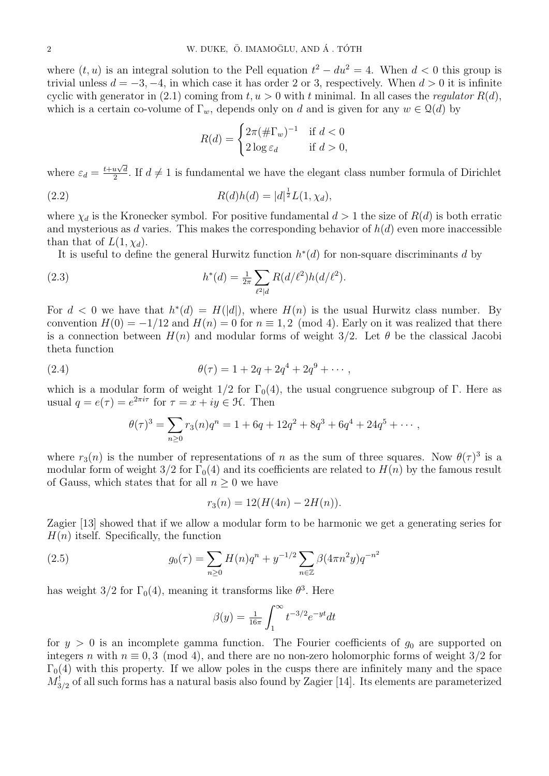where  $(t, u)$  is an integral solution to the Pell equation  $t^2 - du^2 = 4$ . When  $d < 0$  this group is trivial unless  $d = -3, -4$ , in which case it has order 2 or 3, respectively. When  $d > 0$  it is infinite cyclic with generator in (2.1) coming from  $t, u > 0$  with t minimal. In all cases the regulator  $R(d)$ , which is a certain co-volume of  $\Gamma_w$ , depends only on d and is given for any  $w \in \mathcal{Q}(d)$  by

$$
R(d) = \begin{cases} 2\pi (\# \Gamma_w)^{-1} & \text{if } d < 0 \\ 2\log \varepsilon_d & \text{if } d > 0, \end{cases}
$$

where  $\varepsilon_d = \frac{t + u\sqrt{d}}{2}$  $\frac{u \vee d}{2}$ . If  $d \neq 1$  is fundamental we have the elegant class number formula of Dirichlet

(2.2) 
$$
R(d)h(d) = |d|^{\frac{1}{2}}L(1,\chi_d),
$$

where  $\chi_d$  is the Kronecker symbol. For positive fundamental  $d > 1$  the size of  $R(d)$  is both erratic and mysterious as d varies. This makes the corresponding behavior of  $h(d)$  even more inaccessible than that of  $L(1, \chi_d)$ .

It is useful to define the general Hurwitz function  $h^*(d)$  for non-square discriminants d by

(2.3) 
$$
h^*(d) = \frac{1}{2\pi} \sum_{\ell^2|d} R(d/\ell^2) h(d/\ell^2).
$$

For  $d < 0$  we have that  $h^*(d) = H(|d|)$ , where  $H(n)$  is the usual Hurwitz class number. By convention  $H(0) = -1/12$  and  $H(n) = 0$  for  $n \equiv 1, 2 \pmod{4}$ . Early on it was realized that there is a connection between  $H(n)$  and modular forms of weight  $3/2$ . Let  $\theta$  be the classical Jacobi theta function

(2.4) 
$$
\theta(\tau) = 1 + 2q + 2q^4 + 2q^9 + \cdots,
$$

which is a modular form of weight  $1/2$  for  $\Gamma_0(4)$ , the usual congruence subgroup of Γ. Here as usual  $q = e(\tau) = e^{2\pi i \tau}$  for  $\tau = x + iy \in \mathcal{H}$ . Then

$$
\theta(\tau)^3 = \sum_{n\geq 0} r_3(n)q^n = 1 + 6q + 12q^2 + 8q^3 + 6q^4 + 24q^5 + \cdots,
$$

where  $r_3(n)$  is the number of representations of n as the sum of three squares. Now  $\theta(\tau)^3$  is a modular form of weight  $3/2$  for  $\Gamma_0(4)$  and its coefficients are related to  $H(n)$  by the famous result of Gauss, which states that for all  $n \geq 0$  we have

$$
r_3(n) = 12(H(4n) - 2H(n)).
$$

Zagier [13] showed that if we allow a modular form to be harmonic we get a generating series for  $H(n)$  itself. Specifically, the function

(2.5) 
$$
g_0(\tau) = \sum_{n\geq 0} H(n)q^n + y^{-1/2} \sum_{n\in \mathbb{Z}} \beta(4\pi n^2 y) q^{-n^2}
$$

has weight  $3/2$  for  $\Gamma_0(4)$ , meaning it transforms like  $\theta^3$ . Here

$$
\beta(y) = \frac{1}{16\pi} \int_{1}^{\infty} t^{-3/2} e^{-yt} dt
$$

for  $y > 0$  is an incomplete gamma function. The Fourier coefficients of  $g_0$  are supported on integers n with  $n \equiv 0, 3 \pmod{4}$ , and there are no non-zero holomorphic forms of weight 3/2 for  $\Gamma_0(4)$  with this property. If we allow poles in the cusps there are infinitely many and the space  $M_{3/2}^!$  of all such forms has a natural basis also found by Zagier [14]. Its elements are parameterized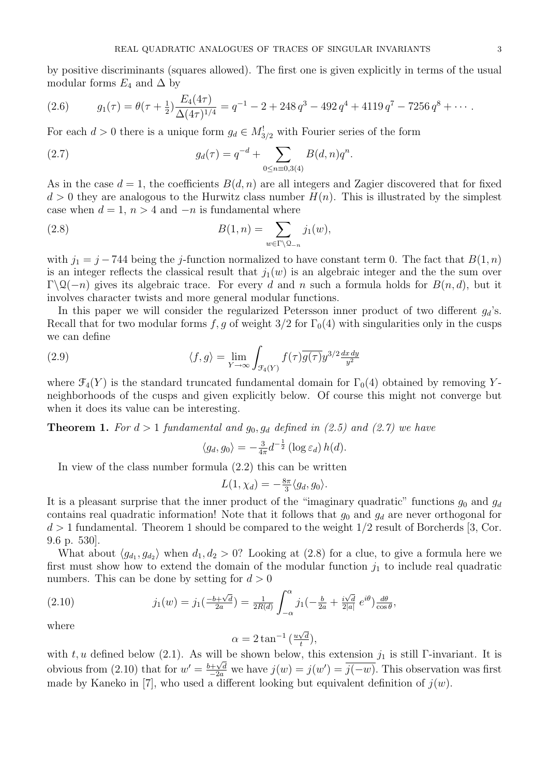by positive discriminants (squares allowed). The first one is given explicitly in terms of the usual modular forms  $E_4$  and  $\Delta$  by

(2.6) 
$$
g_1(\tau) = \theta(\tau + \frac{1}{2}) \frac{E_4(4\tau)}{\Delta(4\tau)^{1/4}} = q^{-1} - 2 + 248 q^3 - 492 q^4 + 4119 q^7 - 7256 q^8 + \cdots
$$

For each  $d > 0$  there is a unique form  $g_d \in M_{3/2}^!$  with Fourier series of the form

(2.7) 
$$
g_d(\tau) = q^{-d} + \sum_{0 \le n \equiv 0,3(4)} B(d,n)q^n.
$$

As in the case  $d = 1$ , the coefficients  $B(d, n)$  are all integers and Zagier discovered that for fixed  $d > 0$  they are analogous to the Hurwitz class number  $H(n)$ . This is illustrated by the simplest case when  $d = 1$ ,  $n > 4$  and  $-n$  is fundamental where

(2.8) 
$$
B(1,n) = \sum_{w \in \Gamma \backslash \mathcal{Q}_{-n}} j_1(w),
$$

with  $j_1 = j - 744$  being the j-function normalized to have constant term 0. The fact that  $B(1, n)$ is an integer reflects the classical result that  $j_1(w)$  is an algebraic integer and the the sum over  $\Gamma\setminus\mathcal{Q}(-n)$  gives its algebraic trace. For every d and n such a formula holds for  $B(n, d)$ , but it involves character twists and more general modular functions.

In this paper we will consider the regularized Petersson inner product of two different  $g_d$ 's. Recall that for two modular forms f, g of weight  $3/2$  for  $\Gamma_0(4)$  with singularities only in the cusps we can define

(2.9) 
$$
\langle f, g \rangle = \lim_{Y \to \infty} \int_{\mathcal{F}_4(Y)} f(\tau) \overline{g(\tau)} y^{3/2} \frac{dx \, dy}{y^2}
$$

where  $\mathcal{F}_4(Y)$  is the standard truncated fundamental domain for  $\Gamma_0(4)$  obtained by removing Yneighborhoods of the cusps and given explicitly below. Of course this might not converge but when it does its value can be interesting.

**Theorem 1.** For  $d > 1$  fundamental and  $g_0, g_d$  defined in (2.5) and (2.7) we have

$$
\langle g_d, g_0 \rangle = -\frac{3}{4\pi} d^{-\frac{1}{2}} (\log \varepsilon_d) h(d).
$$

In view of the class number formula (2.2) this can be written

$$
L(1, \chi_d) = -\frac{8\pi}{3} \langle g_d, g_0 \rangle.
$$

It is a pleasant surprise that the inner product of the "imaginary quadratic" functions  $g_0$  and  $g_d$ contains real quadratic information! Note that it follows that  $g_0$  and  $g_d$  are never orthogonal for  $d > 1$  fundamental. Theorem 1 should be compared to the weight  $1/2$  result of Borcherds [3, Cor. 9.6 p. 530].

What about  $\langle g_{d_1}, g_{d_2} \rangle$  when  $d_1, d_2 > 0$ ? Looking at (2.8) for a clue, to give a formula here we first must show how to extend the domain of the modular function  $j_1$  to include real quadratic numbers. This can be done by setting for  $d > 0$ 

(2.10) 
$$
j_1(w) = j_1(\frac{-b + \sqrt{d}}{2a}) = \frac{1}{2R(d)} \int_{-\alpha}^{\alpha} j_1(-\frac{b}{2a} + \frac{i\sqrt{d}}{2|a|}e^{i\theta}) \frac{d\theta}{\cos\theta},
$$

where

$$
\alpha = 2 \tan^{-1} \left( \frac{u\sqrt{d}}{t} \right),
$$

with t, u defined below (2.1). As will be shown below, this extension  $j_1$  is still Γ-invariant. It is obvious from (2.10) that for  $w' = \frac{b + \sqrt{d}}{2a}$  we have  $j(w) = j(w') = \overline{j(-w)}$ . This observation was first made by Kaneko in [7], who used a different looking but equivalent definition of  $j(w)$ .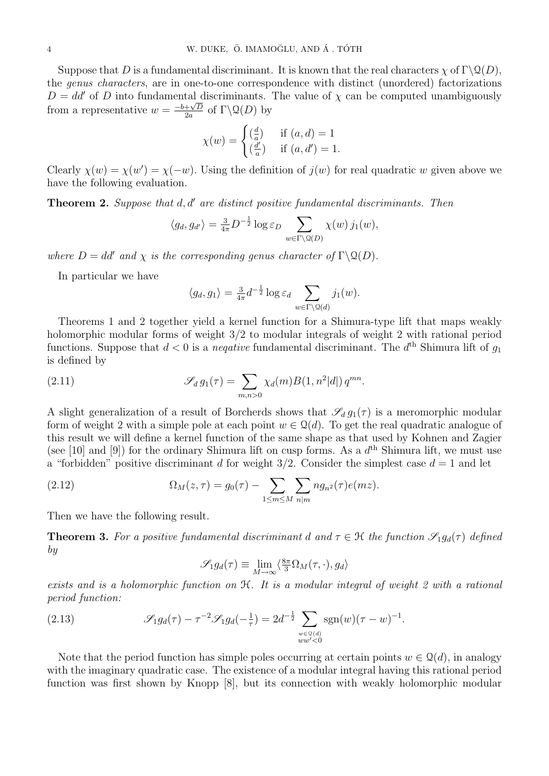Suppose that D is a fundamental discriminant. It is known that the real characters  $\chi$  of  $\Gamma \backslash \mathcal{Q}(D)$ , the genus characters, are in one-to-one correspondence with distinct (unordered) factorizations  $D = dd'$  of D into fundamental discriminants. The value of  $\chi$  can be computed unambiguously  $E = du$  or *D* mo randamental  $\frac{+\sqrt{D}}{2a}$  of  $\Gamma\backslash\mathcal{Q}(D)$  by

$$
\chi(w) = \begin{cases} \left(\frac{d}{a}\right) & \text{if } (a, d) = 1\\ \left(\frac{d'}{a}\right) & \text{if } (a, d') = 1. \end{cases}
$$

Clearly  $\chi(w) = \chi(w') = \chi(-w)$ . Using the definition of  $j(w)$  for real quadratic w given above we have the following evaluation.

**Theorem 2.** Suppose that  $d, d'$  are distinct positive fundamental discriminants. Then

$$
\langle g_d, g_{d'} \rangle = \frac{3}{4\pi} D^{-\frac{1}{2}} \log \varepsilon_D \sum_{w \in \Gamma \backslash \mathcal{Q}(D)} \chi(w) \, j_1(w),
$$

where  $D = dd'$  and  $\chi$  is the corresponding genus character of  $\Gamma \backslash \mathfrak{Q}(D)$ .

In particular we have

$$
\langle g_d, g_1 \rangle = \frac{3}{4\pi} d^{-\frac{1}{2}} \log \varepsilon_d \sum_{w \in \Gamma \backslash \mathcal{Q}(d)} j_1(w).
$$

Theorems 1 and 2 together yield a kernel function for a Shimura-type lift that maps weakly holomorphic modular forms of weight 3/2 to modular integrals of weight 2 with rational period functions. Suppose that  $d < 0$  is a *neqative* fundamental discriminant. The  $d<sup>th</sup>$  Shimura lift of  $g<sub>1</sub>$ is defined by

(2.11) 
$$
\mathscr{S}_d g_1(\tau) = \sum_{m,n>0} \chi_d(m) B(1,n^2|d|) q^{mn}.
$$

A slight generalization of a result of Borcherds shows that  $\mathscr{S}_d g_1(\tau)$  is a meromorphic modular form of weight 2 with a simple pole at each point  $w \in \mathcal{Q}(d)$ . To get the real quadratic analogue of this result we will define a kernel function of the same shape as that used by Kohnen and Zagier (see [10] and [9]) for the ordinary Shimura lift on cusp forms. As a  $d<sup>th</sup>$  Shimura lift, we must use a "forbidden" positive discriminant d for weight  $3/2$ . Consider the simplest case  $d = 1$  and let

(2.12) 
$$
\Omega_M(z,\tau) = g_0(\tau) - \sum_{1 \le m \le M} \sum_{n|m} n g_{n^2}(\tau) e(mz).
$$

Then we have the following result.

**Theorem 3.** For a positive fundamental discriminant d and  $\tau \in \mathcal{H}$  the function  $\mathscr{S}_1 g_d(\tau)$  defined by

$$
\mathscr{S}_1 g_d(\tau) \equiv \lim_{M \to \infty} \langle \frac{8\pi}{3} \Omega_M(\tau, \cdot), g_d \rangle
$$

exists and is a holomorphic function on H. It is a modular integral of weight 2 with a rational period function:

(2.13) 
$$
\mathscr{S}_1 g_d(\tau) - \tau^{-2} \mathscr{S}_1 g_d(-\tfrac{1}{\tau}) = 2d^{-\frac{1}{2}} \sum_{\substack{w \in \mathbb{Q}(d) \\ ww' < 0}} \text{sgn}(w) (\tau - w)^{-1}.
$$

Note that the period function has simple poles occurring at certain points  $w \in \mathcal{Q}(d)$ , in analogy with the imaginary quadratic case. The existence of a modular integral having this rational period function was first shown by Knopp [8], but its connection with weakly holomorphic modular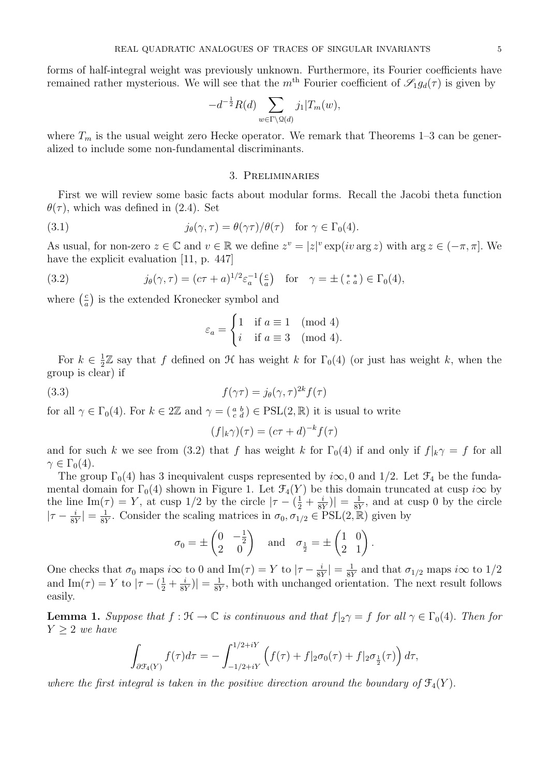forms of half-integral weight was previously unknown. Furthermore, its Fourier coefficients have remained rather mysterious. We will see that the m<sup>th</sup> Fourier coefficient of  $\mathscr{S}_1 g_d(\tau)$  is given by

$$
-d^{-\frac{1}{2}}R(d)\sum_{w\in\Gamma\backslash\mathcal{Q}(d)}j_1|T_m(w),
$$

where  $T_m$  is the usual weight zero Hecke operator. We remark that Theorems 1–3 can be generalized to include some non-fundamental discriminants.

#### 3. Preliminaries

First we will review some basic facts about modular forms. Recall the Jacobi theta function  $\theta(\tau)$ , which was defined in (2.4). Set

(3.1) 
$$
j_{\theta}(\gamma, \tau) = \theta(\gamma \tau) / \theta(\tau) \quad \text{for } \gamma \in \Gamma_0(4).
$$

As usual, for non-zero  $z \in \mathbb{C}$  and  $v \in \mathbb{R}$  we define  $z^v = |z|^v \exp(i v \arg z)$  with  $\arg z \in (-\pi, \pi]$ . We have the explicit evaluation [11, p. 447]

(3.2) 
$$
j_{\theta}(\gamma,\tau) = (c\tau + a)^{1/2} \varepsilon_a^{-1} \left(\frac{c}{a}\right) \quad \text{for} \quad \gamma = \pm \left(\begin{array}{c} * & * \\ c & a \end{array}\right) \in \Gamma_0(4),
$$

where  $\left(\frac{c}{a}\right)$  $\frac{c}{a}$ ) is the extended Kronecker symbol and

$$
\varepsilon_a = \begin{cases} 1 & \text{if } a \equiv 1 \pmod{4} \\ i & \text{if } a \equiv 3 \pmod{4}. \end{cases}
$$

For  $k \in \frac{1}{2}$  $\frac{1}{2}\mathbb{Z}$  say that f defined on  $\mathcal H$  has weight k for  $\Gamma_0(4)$  (or just has weight k, when the group is clear) if

(3.3) 
$$
f(\gamma \tau) = j_{\theta}(\gamma, \tau)^{2k} f(\tau)
$$

for all  $\gamma \in \Gamma_0(4)$ . For  $k \in 2\mathbb{Z}$  and  $\gamma = \begin{pmatrix} a & b \\ c & d \end{pmatrix} \in \text{PSL}(2,\mathbb{R})$  it is usual to write

$$
(f|_{k}\gamma)(\tau) = (c\tau + d)^{-k} f(\tau)
$$

and for such k we see from (3.2) that f has weight k for  $\Gamma_0(4)$  if and only if  $f|_k \gamma = f$  for all  $\gamma \in \Gamma_0(4)$ .

The group  $\Gamma_0(4)$  has 3 inequivalent cusps represented by  $i\infty$ , 0 and 1/2. Let  $\mathcal{F}_4$  be the fundamental domain for  $\Gamma_0(4)$  shown in Figure 1. Let  $\mathcal{F}_4(Y)$  be this domain truncated at cusp  $i\infty$  by the line Im( $\tau$ ) = Y, at cusp 1/2 by the circle  $|\tau - (\frac{1}{2} + \frac{i}{8})|$  $\frac{i}{8Y}$ ) $\Big| = \frac{1}{8Y}$  $\frac{1}{8Y}$ , and at cusp 0 by the circle  $|\tau - \frac{i}{81}|$  $\frac{i}{8Y}|=\frac{1}{8Y}$  $\frac{1}{8Y}$ . Consider the scaling matrices in  $\sigma_0, \sigma_{1/2} \in \text{PSL}(2, \mathbb{R})$  given by

$$
\sigma_0 = \pm \begin{pmatrix} 0 & -\frac{1}{2} \\ 2 & 0 \end{pmatrix} \quad \text{and} \quad \sigma_{\frac{1}{2}} = \pm \begin{pmatrix} 1 & 0 \\ 2 & 1 \end{pmatrix}
$$

.

One checks that  $\sigma_0$  maps  $i\infty$  to 0 and Im( $\tau$ ) = Y to  $|\tau - \frac{i}{8}$  $\frac{i}{8Y}\vert = \frac{1}{8Y}$  $\frac{1}{8Y}$  and that  $\sigma_{1/2}$  maps *i* $\infty$  to 1/2 and  $\text{Im}(\tau) = Y$  to  $|\tau - (\frac{1}{2} + \frac{i}{81})|$  $\frac{i}{8Y}$  $\big| = \frac{1}{8Y}$  $\frac{1}{8Y}$ , both with unchanged orientation. The next result follows easily.

**Lemma 1.** Suppose that  $f : \mathcal{H} \to \mathbb{C}$  is continuous and that  $f|_2\gamma = f$  for all  $\gamma \in \Gamma_0(4)$ . Then for  $Y > 2$  we have

$$
\int_{\partial \mathcal{F}_4(Y)} f(\tau) d\tau = -\int_{-1/2+iY}^{1/2+iY} \left( f(\tau) + f|_{2} \sigma_0(\tau) + f|_{2} \sigma_{\frac{1}{2}}(\tau) \right) d\tau,
$$

where the first integral is taken in the positive direction around the boundary of  $\mathfrak{F}_4(Y)$ .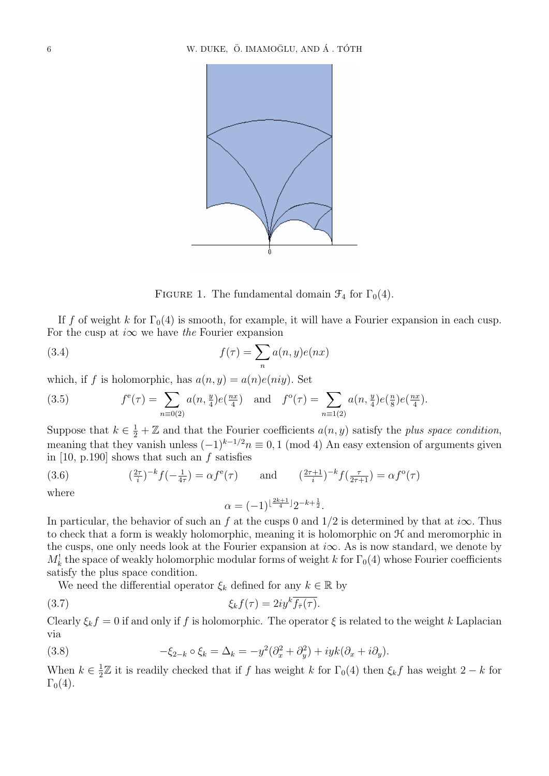

FIGURE 1. The fundamental domain  $\mathcal{F}_4$  for  $\Gamma_0(4)$ .

If f of weight k for  $\Gamma_0(4)$  is smooth, for example, it will have a Fourier expansion in each cusp. For the cusp at  $i\infty$  we have the Fourier expansion

(3.4) 
$$
f(\tau) = \sum_{n} a(n, y)e(nx)
$$

which, if f is holomorphic, has  $a(n, y) = a(n)e(niy)$ . Set

(3.5) 
$$
f^{e}(\tau) = \sum_{n \equiv 0(2)} a(n, \frac{y}{4}) e(\frac{nx}{4}) \text{ and } f^{o}(\tau) = \sum_{n \equiv 1(2)} a(n, \frac{y}{4}) e(\frac{n}{8}) e(\frac{nx}{4}).
$$

Suppose that  $k \in \frac{1}{2} + \mathbb{Z}$  and that the Fourier coefficients  $a(n, y)$  satisfy the plus space condition, meaning that they vanish unless  $(-1)^{k-1/2}n \equiv 0, 1 \pmod{4}$  An easy extension of arguments given in [10, p.190] shows that such an  $f$  satisfies

(3.6) 
$$
\left(\frac{2\tau}{i}\right)^{-k} f\left(-\frac{1}{4\tau}\right) = \alpha f^e(\tau) \quad \text{and} \quad \left(\frac{2\tau+1}{i}\right)^{-k} f\left(\frac{\tau}{2\tau+1}\right) = \alpha f^o(\tau)
$$
where

$$
\alpha = (-1)^{\lfloor \frac{2k+1}{4} \rfloor} 2^{-k + \frac{1}{2}}.
$$

In particular, the behavior of such an f at the cusps 0 and  $1/2$  is determined by that at  $i\infty$ . Thus to check that a form is weakly holomorphic, meaning it is holomorphic on  $H$  and meromorphic in the cusps, one only needs look at the Fourier expansion at  $i\infty$ . As is now standard, we denote by  $M_k^!$  the space of weakly holomorphic modular forms of weight k for  $\Gamma_0(4)$  whose Fourier coefficients satisfy the plus space condition.

We need the differential operator  $\xi_k$  defined for any  $k \in \mathbb{R}$  by

(3.7) 
$$
\xi_k f(\tau) = 2i y^k \overline{f_{\bar{\tau}}(\tau)}.
$$

Clearly  $\xi_k f = 0$  if and only if f is holomorphic. The operator  $\xi$  is related to the weight k Laplacian via

(3.8) 
$$
-\xi_{2-k} \circ \xi_k = \Delta_k = -y^2(\partial_x^2 + \partial_y^2) + iyk(\partial_x + i\partial_y).
$$

When  $k \in \frac{1}{2}$  $\frac{1}{2}$  Z it is readily checked that if f has weight k for  $\Gamma_0(4)$  then  $\xi_k f$  has weight 2 − k for  $\Gamma_0(4)$ .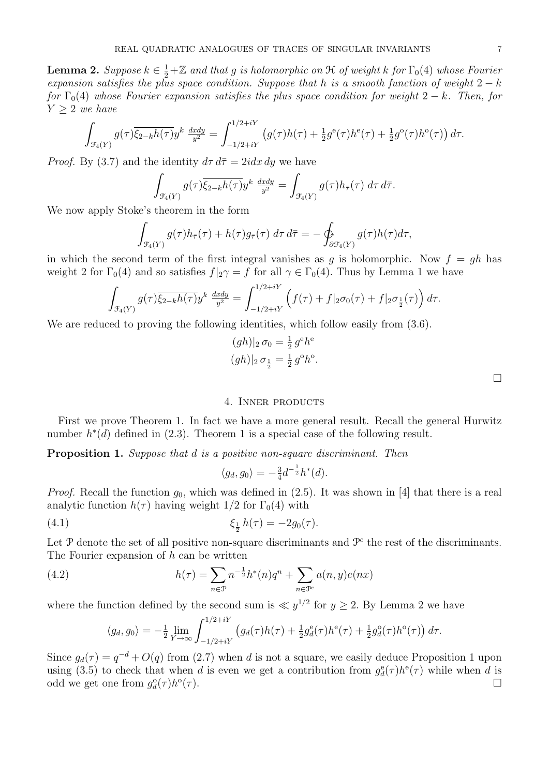**Lemma 2.** Suppose  $k \in \frac{1}{2} + \mathbb{Z}$  and that g is holomorphic on  $\mathcal H$  of weight k for  $\Gamma_0(4)$  whose Fourier expansion satisfies the plus space condition. Suppose that h is a smooth function of weight  $2 - k$ for  $\Gamma_0(4)$  whose Fourier expansion satisfies the plus space condition for weight  $2-k$ . Then, for  $Y \geq 2$  we have

$$
\int_{\mathcal{F}_4(Y)} g(\tau) \overline{\xi_{2-k}h(\tau)} y^k \frac{dxdy}{y^2} = \int_{-1/2+iY}^{1/2+iY} \left( g(\tau)h(\tau) + \frac{1}{2} g^e(\tau)h^e(\tau) + \frac{1}{2} g^o(\tau)h^o(\tau) \right) d\tau.
$$

*Proof.* By (3.7) and the identity  $d\tau d\bar{\tau} = 2i dx dy$  we have

$$
\int_{\mathcal{F}_4(Y)} g(\tau) \overline{\xi_{2-k}h(\tau)} y^k \frac{dxdy}{y^2} = \int_{\mathcal{F}_4(Y)} g(\tau)h_{\overline{\tau}}(\tau) d\tau d\overline{\tau}.
$$

We now apply Stoke's theorem in the form

$$
\int_{\mathcal{F}_4(Y)} g(\tau) h_{\bar{\tau}}(\tau) + h(\tau) g_{\bar{\tau}}(\tau) d\tau d\bar{\tau} = - \oint_{\partial \mathcal{F}_4(Y)} g(\tau) h(\tau) d\tau,
$$

in which the second term of the first integral vanishes as q is holomorphic. Now  $f = gh$  has weight 2 for  $\Gamma_0(4)$  and so satisfies  $f|_2\gamma = f$  for all  $\gamma \in \Gamma_0(4)$ . Thus by Lemma 1 we have

$$
\int_{\mathcal{F}_4(Y)} g(\tau) \overline{\xi_{2-k} h(\tau)} y^k \frac{dxdy}{y^2} = \int_{-1/2+iY}^{1/2+iY} \left( f(\tau) + f|_2 \sigma_0(\tau) + f|_2 \sigma_{\frac{1}{2}}(\tau) \right) d\tau.
$$

We are reduced to proving the following identities, which follow easily from  $(3.6)$ .

$$
(gh)|_2 \sigma_0 = \frac{1}{2} g^e h^e
$$
  

$$
(gh)|_2 \sigma_{\frac{1}{2}} = \frac{1}{2} g^o h^o.
$$

#### 4. Inner products

First we prove Theorem 1. In fact we have a more general result. Recall the general Hurwitz number  $h^*(d)$  defined in (2.3). Theorem 1 is a special case of the following result.

Proposition 1. Suppose that d is a positive non-square discriminant. Then

$$
\langle g_d, g_0 \rangle = -\frac{3}{4}d^{-\frac{1}{2}}h^*(d).
$$

*Proof.* Recall the function  $g_0$ , which was defined in (2.5). It was shown in [4] that there is a real analytic function  $h(\tau)$  having weight  $1/2$  for  $\Gamma_0(4)$  with

(4.1) 
$$
\xi_{\frac{1}{2}} h(\tau) = -2g_0(\tau).
$$

Let  $P$  denote the set of all positive non-square discriminants and  $P^c$  the rest of the discriminants. The Fourier expansion of  $h$  can be written

(4.2) 
$$
h(\tau) = \sum_{n \in \mathcal{P}} n^{-\frac{1}{2}} h^*(n) q^n + \sum_{n \in \mathcal{P}^c} a(n, y) e(nx)
$$

where the function defined by the second sum is  $\ll y^{1/2}$  for  $y \ge 2$ . By Lemma 2 we have

$$
\langle g_d, g_0 \rangle = -\frac{1}{2} \lim_{Y \to \infty} \int_{-1/2 + iY}^{1/2 + iY} \left( g_d(\tau) h(\tau) + \frac{1}{2} g_d^e(\tau) h^e(\tau) + \frac{1}{2} g_d^o(\tau) h^o(\tau) \right) d\tau.
$$

Since  $g_d(\tau) = q^{-d} + O(q)$  from (2.7) when d is not a square, we easily deduce Proposition 1 upon using (3.5) to check that when d is even we get a contribution from  $g_d^e(\tau)h^e(\tau)$  while when d is odd we get one from  $g_d^{\circ}(\tau)h^{\circ}$  $(\tau)$ .

 $\Box$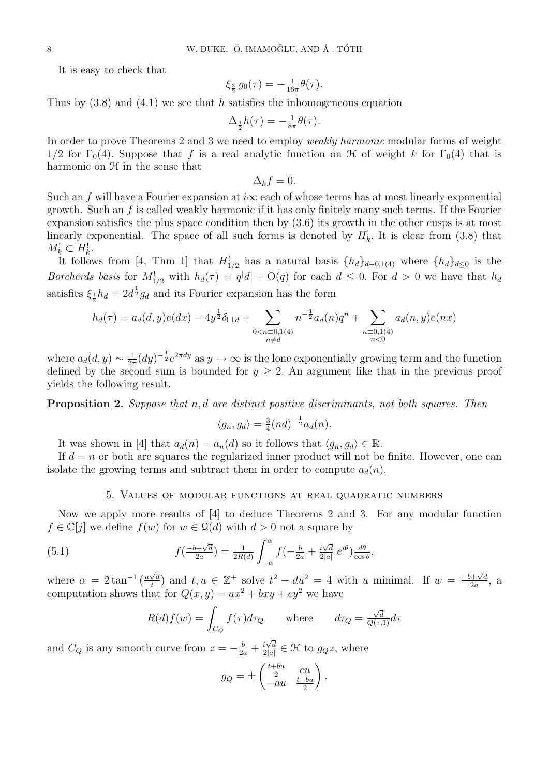It is easy to check that

$$
\xi_{\frac{3}{2}} g_0(\tau) = -\frac{1}{16\pi} \theta(\tau).
$$

Thus by  $(3.8)$  and  $(4.1)$  we see that h satisfies the inhomogeneous equation

$$
\Delta_{\frac{1}{2}}h(\tau) = -\frac{1}{8\pi}\theta(\tau).
$$

In order to prove Theorems 2 and 3 we need to employ *weakly harmonic* modular forms of weight 1/2 for  $\Gamma_0(4)$ . Suppose that f is a real analytic function on H of weight k for  $\Gamma_0(4)$  that is harmonic on  $H$  in the sense that

$$
\Delta_k f = 0.
$$

Such an f will have a Fourier expansion at  $i\infty$  each of whose terms has at most linearly exponential growth. Such an f is called weakly harmonic if it has only finitely many such terms. If the Fourier expansion satisfies the plus space condition then by (3.6) its growth in the other cusps is at most linearly exponential. The space of all such forms is denoted by  $H_k^!$ . It is clear from (3.8) that  $M_k^! \subset H_k^!$ .

It follows from [4, Thm 1] that  $H_{1/2}^!$  has a natural basis  $\{h_d\}_{d\equiv 0,1(4)}$  where  $\{h_d\}_{d\leq 0}$  is the *Borcherds basis* for  $M_{1/2}^!$  with  $h_d(\tau) = q^{|d|} + O(q)$  for each  $d \leq 0$ . For  $d > 0$  we have that  $h_d$ satisfies  $\xi_{\frac{1}{2}} h_d = 2d^{\frac{1}{2}} g_d$  and its Fourier expansion has the form

$$
h_d(\tau) = a_d(d, y)e(dx) - 4y^{\frac{1}{2}}\delta_{\Box,d} + \sum_{\substack{0 < n \equiv 0,1(4) \\ n \neq d}} n^{-\frac{1}{2}}a_d(n)q^n + \sum_{\substack{n \equiv 0,1(4) \\ n < 0}} a_d(n,y)e(nx)
$$

where  $a_d(d, y) \sim \frac{1}{2d}$  $\frac{1}{2\pi}(dy)^{-\frac{1}{2}}e^{2\pi dy}$  as  $y \to \infty$  is the lone exponentially growing term and the function defined by the second sum is bounded for  $y \geq 2$ . An argument like that in the previous proof yields the following result.

Proposition 2. Suppose that n, d are distinct positive discriminants, not both squares. Then

$$
\langle g_n, g_d \rangle = \frac{3}{4} (nd)^{-\frac{1}{2}} a_d(n).
$$

It was shown in [4] that  $a_d(n) = a_n(d)$  so it follows that  $\langle g_n, g_d \rangle \in \mathbb{R}$ .

If  $d = n$  or both are squares the regularized inner product will not be finite. However, one can isolate the growing terms and subtract them in order to compute  $a_d(n)$ .

## 5. Values of modular functions at real quadratic numbers

Now we apply more results of [4] to deduce Theorems 2 and 3. For any modular function  $f \in \mathbb{C}[j]$  we define  $f(w)$  for  $w \in \mathcal{Q}(d)$  with  $d > 0$  not a square by

(5.1) 
$$
f\left(\frac{-b+\sqrt{d}}{2a}\right) = \frac{1}{2R(d)} \int_{-\alpha}^{\alpha} f\left(-\frac{b}{2a} + \frac{i\sqrt{d}}{2|a|} e^{i\theta}\right) \frac{d\theta}{\cos\theta},
$$

where  $\alpha = 2 \tan^{-1} \left( \frac{u \sqrt{d}}{t} \right)$  $\frac{\sqrt{d}}{t}$  and  $t, u \in \mathbb{Z}^+$  solve  $t^2 - du^2 = 4$  with u minimal. If  $w = \frac{-b + \sqrt{d}}{2a}$  $\frac{\partial+\sqrt{d}}{\partial a}$ , a computation shows that for  $Q(x, y) = ax^2 + bxy + cy^2$  we have

$$
R(d)f(w) = \int_{C_Q} f(\tau)d\tau_Q \quad \text{where} \quad d\tau_Q = \frac{\sqrt{d}}{Q(\tau,1)}d\tau
$$

and  $C_Q$  is any smooth curve from  $z = -\frac{b}{2a} + \frac{i\sqrt{d}}{2|a|}$  $\frac{i\sqrt{d}}{2|a|} \in \mathcal{H}$  to  $g_{Q}z$ , where

$$
g_Q = \pm \begin{pmatrix} \frac{t+bu}{2} & cu \\ -au & \frac{t-bu}{2} \end{pmatrix}.
$$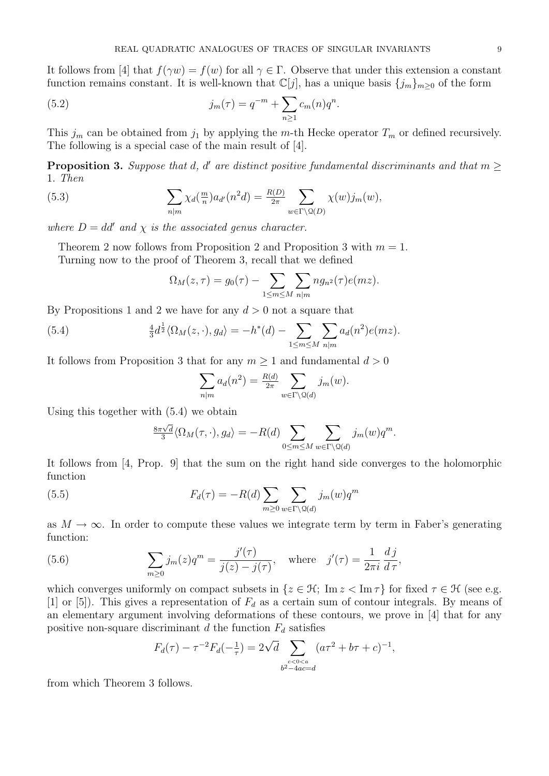It follows from [4] that  $f(\gamma w) = f(w)$  for all  $\gamma \in \Gamma$ . Observe that under this extension a constant function remains constant. It is well-known that  $\mathbb{C}[j]$ , has a unique basis  $\{j_m\}_{m>0}$  of the form

(5.2) 
$$
j_m(\tau) = q^{-m} + \sum_{n \ge 1} c_m(n) q^n.
$$

This  $j_m$  can be obtained from  $j_1$  by applying the m-th Hecke operator  $T_m$  or defined recursively. The following is a special case of the main result of [4].

**Proposition 3.** Suppose that d, d' are distinct positive fundamental discriminants and that  $m \geq$ 1. Then

(5.3) 
$$
\sum_{n|m} \chi_d(\frac{m}{n}) a_{d'}(n^2 d) = \frac{R(D)}{2\pi} \sum_{w \in \Gamma \backslash \mathcal{Q}(D)} \chi(w) j_m(w),
$$

where  $D = dd'$  and  $\chi$  is the associated genus character.

Theorem 2 now follows from Proposition 2 and Proposition 3 with  $m = 1$ . Turning now to the proof of Theorem 3, recall that we defined

$$
\Omega_M(z,\tau) = g_0(\tau) - \sum_{1 \le m \le M} \sum_{n|m} n g_{n^2}(\tau) e(mz).
$$

By Propositions 1 and 2 we have for any  $d > 0$  not a square that

(5.4) 
$$
\frac{4}{3}d^{\frac{1}{2}}\langle\Omega_M(z,\cdot),g_d\rangle=-h^*(d)-\sum_{1\leq m\leq M}\sum_{n|m}a_d(n^2)e(mz).
$$

It follows from Proposition 3 that for any  $m \geq 1$  and fundamental  $d > 0$ 

$$
\sum_{n|m} a_d(n^2) = \frac{R(d)}{2\pi} \sum_{w \in \Gamma \backslash \mathcal{Q}(d)} j_m(w).
$$

Using this together with (5.4) we obtain

$$
\frac{8\pi\sqrt{d}}{3}\langle\Omega_M(\tau,\cdot),g_d\rangle=-R(d)\sum_{0\leq m\leq M}\sum_{w\in\Gamma\backslash\mathcal{Q}(d)}j_m(w)q^m.
$$

It follows from [4, Prop. 9] that the sum on the right hand side converges to the holomorphic function

(5.5) 
$$
F_d(\tau) = -R(d) \sum_{m \ge 0} \sum_{w \in \Gamma \backslash \mathcal{Q}(d)} j_m(w) q^m
$$

as  $M \to \infty$ . In order to compute these values we integrate term by term in Faber's generating function:

(5.6) 
$$
\sum_{m\geq 0} j_m(z)q^m = \frac{j'(\tau)}{j(z) - j(\tau)}, \text{ where } j'(\tau) = \frac{1}{2\pi i} \frac{d j}{d \tau},
$$

which converges uniformly on compact subsets in  $\{z \in \mathcal{H}; \operatorname{Im} z < \operatorname{Im} \tau\}$  for fixed  $\tau \in \mathcal{H}$  (see e.g. [1] or [5]). This gives a representation of  $F_d$  as a certain sum of contour integrals. By means of an elementary argument involving deformations of these contours, we prove in [4] that for any positive non-square discriminant d the function  $F_d$  satisfies

$$
F_d(\tau) - \tau^{-2} F_d(-\tfrac{1}{\tau}) = 2\sqrt{d} \sum_{\substack{c < 0 < a \\ b^2 - 4ac = d}} (a\tau^2 + b\tau + c)^{-1},
$$

from which Theorem 3 follows.